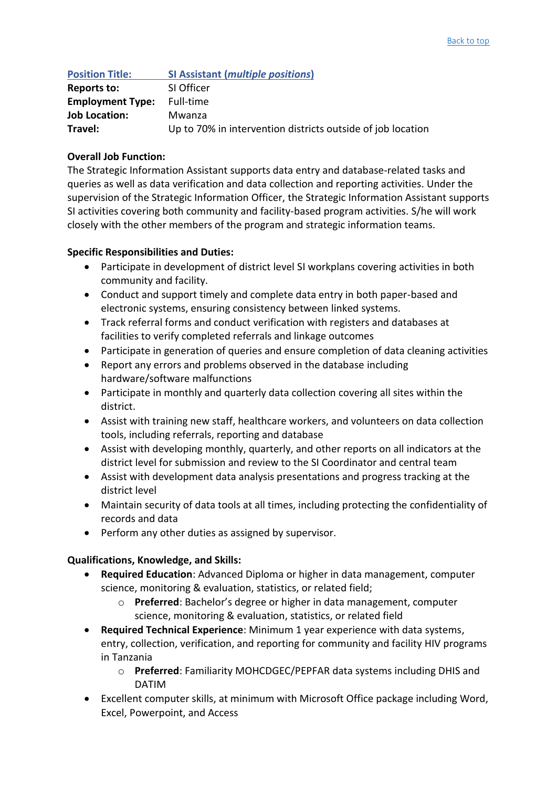| <b>Position Title:</b>  | <b>SI Assistant (multiple positions)</b>                    |
|-------------------------|-------------------------------------------------------------|
| Reports to:             | SI Officer                                                  |
| <b>Employment Type:</b> | Full-time                                                   |
| <b>Job Location:</b>    | Mwanza                                                      |
| Travel:                 | Up to 70% in intervention districts outside of job location |

## **Overall Job Function:**

The Strategic Information Assistant supports data entry and database-related tasks and queries as well as data verification and data collection and reporting activities. Under the supervision of the Strategic Information Officer, the Strategic Information Assistant supports SI activities covering both community and facility-based program activities. S/he will work closely with the other members of the program and strategic information teams.

## **Specific Responsibilities and Duties:**

- Participate in development of district level SI workplans covering activities in both community and facility.
- Conduct and support timely and complete data entry in both paper-based and electronic systems, ensuring consistency between linked systems.
- Track referral forms and conduct verification with registers and databases at facilities to verify completed referrals and linkage outcomes
- Participate in generation of queries and ensure completion of data cleaning activities
- Report any errors and problems observed in the database including hardware/software malfunctions
- Participate in monthly and quarterly data collection covering all sites within the district.
- Assist with training new staff, healthcare workers, and volunteers on data collection tools, including referrals, reporting and database
- Assist with developing monthly, quarterly, and other reports on all indicators at the district level for submission and review to the SI Coordinator and central team
- Assist with development data analysis presentations and progress tracking at the district level
- Maintain security of data tools at all times, including protecting the confidentiality of records and data
- Perform any other duties as assigned by supervisor.

## **Qualifications, Knowledge, and Skills:**

- **Required Education**: Advanced Diploma or higher in data management, computer science, monitoring & evaluation, statistics, or related field;
	- o **Preferred**: Bachelor's degree or higher in data management, computer science, monitoring & evaluation, statistics, or related field
- **Required Technical Experience**: Minimum 1 year experience with data systems, entry, collection, verification, and reporting for community and facility HIV programs in Tanzania
	- o **Preferred**: Familiarity MOHCDGEC/PEPFAR data systems including DHIS and DATIM
- Excellent computer skills, at minimum with Microsoft Office package including Word, Excel, Powerpoint, and Access